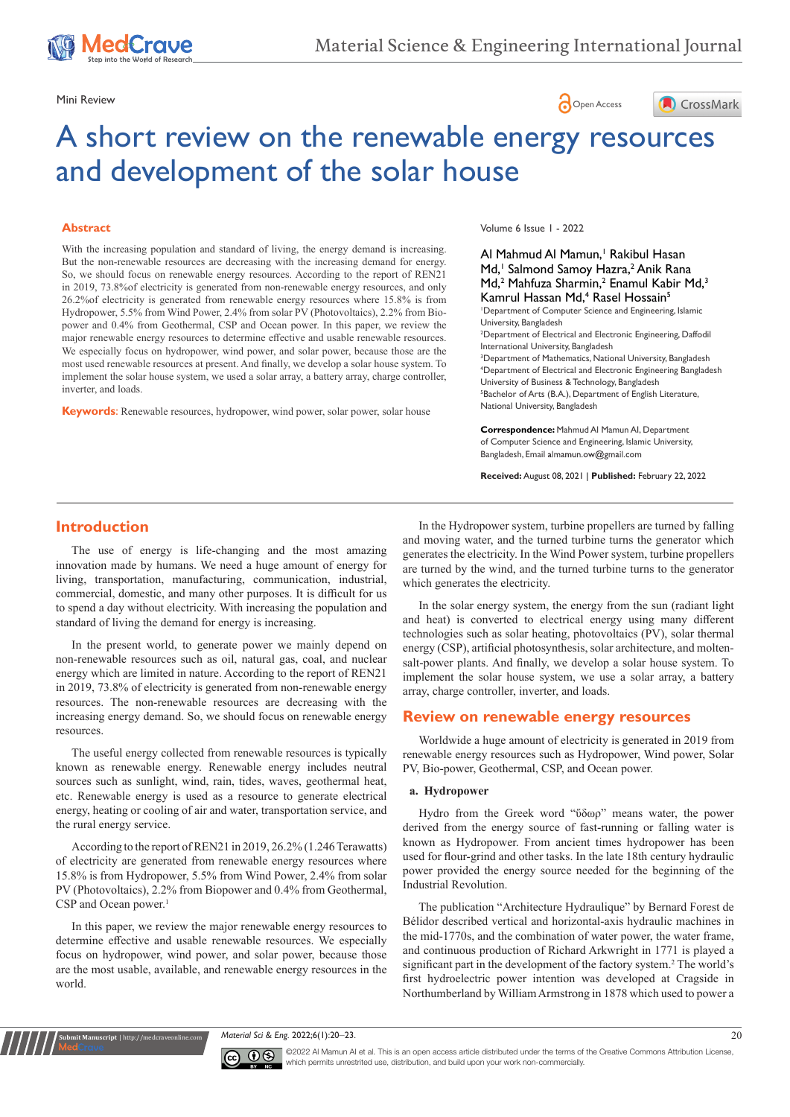

# Mini Review **Open Access**



# A short review on the renewable energy resources and development of the solar house

#### **Abstract**

With the increasing population and standard of living, the energy demand is increasing. But the non-renewable resources are decreasing with the increasing demand for energy. So, we should focus on renewable energy resources. According to the report of REN21 in 2019, 73.8%of electricity is generated from non-renewable energy resources, and only 26.2%of electricity is generated from renewable energy resources where 15.8% is from Hydropower, 5.5% from Wind Power, 2.4% from solar PV (Photovoltaics), 2.2% from Biopower and 0.4% from Geothermal, CSP and Ocean power. In this paper, we review the major renewable energy resources to determine effective and usable renewable resources. We especially focus on hydropower, wind power, and solar power, because those are the most used renewable resources at present. And finally, we develop a solar house system. To implement the solar house system, we used a solar array, a battery array, charge controller, inverter, and loads.

**Keywords**: Renewable resources, hydropower, wind power, solar power, solar house

Volume 6 Issue 1 - 2022

## Al Mahmud Al Mamun,<sup>1</sup> Rakibul Hasan Md,<sup>1</sup> Salmond Samoy Hazra,<sup>2</sup> Anik Rana Md,<sup>2</sup> Mahfuza Sharmin,<sup>2</sup> Enamul Kabir Md,<sup>3</sup> Kamrul Hassan Md,<sup>4</sup> Rasel Hossain<sup>5</sup>

1 Department of Computer Science and Engineering, Islamic University, Bangladesh

2 Department of Electrical and Electronic Engineering, Daffodil International University, Bangladesh

<sup>3</sup>Department of Mathematics, National University, Bangladesh 4 Department of Electrical and Electronic Engineering Bangladesh University of Business & Technology, Bangladesh 5 Bachelor of Arts (B.A.), Department of English Literature, National University, Bangladesh

**Correspondence:** Mahmud Al Mamun AI, Department of Computer Science and Engineering, Islamic University, Bangladesh, Email almamun.ow@gmail.com

**Received:** August 08, 2021 | **Published:** February 22, 2022

# **Introduction**

The use of energy is life-changing and the most amazing innovation made by humans. We need a huge amount of energy for living, transportation, manufacturing, communication, industrial, commercial, domestic, and many other purposes. It is difficult for us to spend a day without electricity. With increasing the population and standard of living the demand for energy is increasing.

In the present world, to generate power we mainly depend on non-renewable resources such as oil, natural gas, coal, and nuclear energy which are limited in nature. According to the report of REN21 in 2019, 73.8% of electricity is generated from non-renewable energy resources. The non-renewable resources are decreasing with the increasing energy demand. So, we should focus on renewable energy resources.

The useful energy collected from renewable resources is typically known as renewable energy. Renewable energy includes neutral sources such as sunlight, wind, rain, tides, waves, geothermal heat, etc. Renewable energy is used as a resource to generate electrical energy, heating or cooling of air and water, transportation service, and the rural energy service.

According to the report of REN21 in 2019, 26.2% (1.246 Terawatts) of electricity are generated from renewable energy resources where 15.8% is from Hydropower, 5.5% from Wind Power, 2.4% from solar PV (Photovoltaics), 2.2% from Biopower and 0.4% from Geothermal, CSP and Ocean power.<sup>1</sup>

In this paper, we review the major renewable energy resources to determine effective and usable renewable resources. We especially focus on hydropower, wind power, and solar power, because those are the most usable, available, and renewable energy resources in the world.

**Kubmit Manuscript** | http://medcraveonline

In the Hydropower system, turbine propellers are turned by falling and moving water, and the turned turbine turns the generator which generates the electricity. In the Wind Power system, turbine propellers are turned by the wind, and the turned turbine turns to the generator which generates the electricity.

In the solar energy system, the energy from the sun (radiant light and heat) is converted to electrical energy using many different technologies such as solar heating, photovoltaics (PV), solar thermal energy (CSP), artificial photosynthesis, solar architecture, and moltensalt-power plants. And finally, we develop a solar house system. To implement the solar house system, we use a solar array, a battery array, charge controller, inverter, and loads.

## **Review on renewable energy resources**

Worldwide a huge amount of electricity is generated in 2019 from renewable energy resources such as Hydropower, Wind power, Solar PV, Bio-power, Geothermal, CSP, and Ocean power.

#### **a. Hydropower**

Hydro from the Greek word "ὕδωρ" means water, the power derived from the energy source of fast-running or falling water is known as Hydropower. From ancient times hydropower has been used for flour-grind and other tasks. In the late 18th century hydraulic power provided the energy source needed for the beginning of the Industrial Revolution.

The publication "Architecture Hydraulique" by Bernard Forest de Bélidor described vertical and horizontal-axis hydraulic machines in the mid-1770s, and the combination of water power, the water frame, and continuous production of Richard Arkwright in 1771 is played a significant part in the development of the factory system.<sup>2</sup> The world's first hydroelectric power intention was developed at Cragside in Northumberland by William Armstrong in 1878 which used to power a

*Material Sci & Eng.* 2022;6(1):20‒23. 20



©2022 Al Mamun AI et al. This is an open access article distributed under the terms of the Creative Commons Attribution License, which permits unrestrited use, distribution, and build upon your work non-commercially.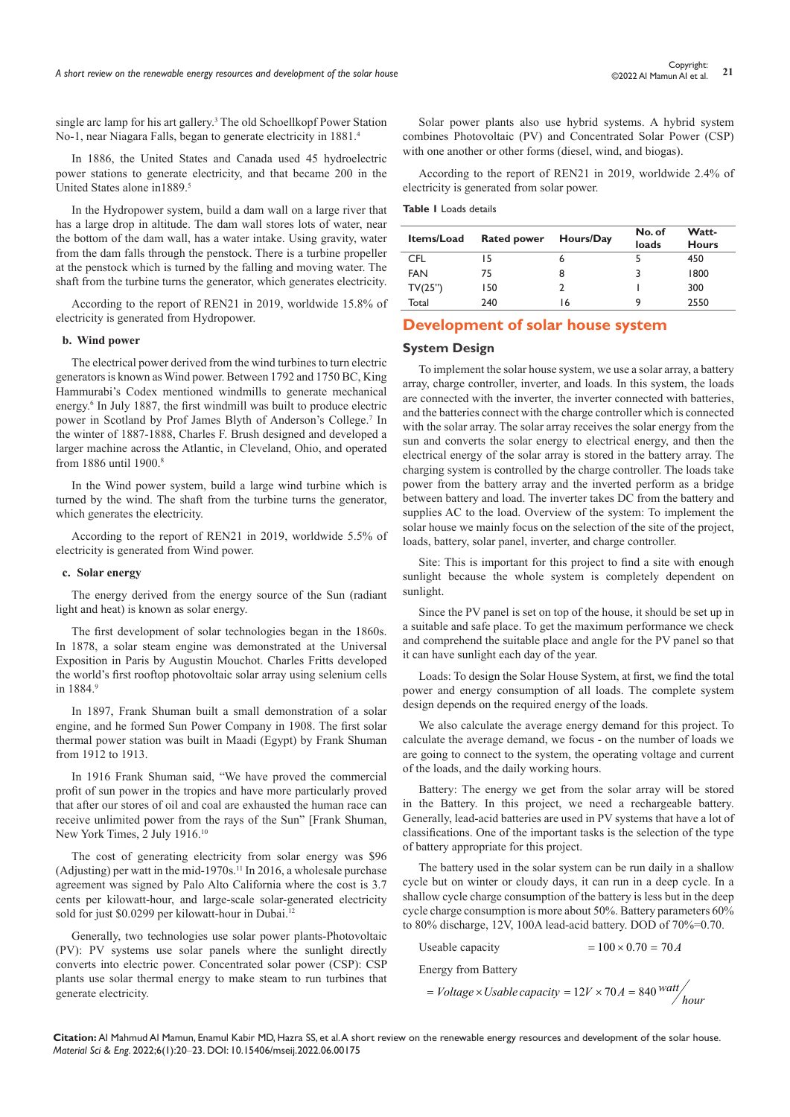single arc lamp for his art gallery.<sup>3</sup> The old Schoellkopf Power Station No-1, near Niagara Falls, began to generate electricity in 1881.4

In 1886, the United States and Canada used 45 hydroelectric power stations to generate electricity, and that became 200 in the United States alone in1889.5

In the Hydropower system, build a dam wall on a large river that has a large drop in altitude. The dam wall stores lots of water, near the bottom of the dam wall, has a water intake. Using gravity, water from the dam falls through the penstock. There is a turbine propeller at the penstock which is turned by the falling and moving water. The shaft from the turbine turns the generator, which generates electricity.

According to the report of REN21 in 2019, worldwide 15.8% of electricity is generated from Hydropower.

#### **b. Wind power**

The electrical power derived from the wind turbines to turn electric generators is known as Wind power. Between 1792 and 1750 BC, King Hammurabi's Codex mentioned windmills to generate mechanical energy.<sup>6</sup> In July 1887, the first windmill was built to produce electric power in Scotland by Prof James Blyth of Anderson's College.7 In the winter of 1887-1888, Charles F. Brush designed and developed a larger machine across the Atlantic, in Cleveland, Ohio, and operated from 1886 until 1900.8

In the Wind power system, build a large wind turbine which is turned by the wind. The shaft from the turbine turns the generator, which generates the electricity.

According to the report of REN21 in 2019, worldwide 5.5% of electricity is generated from Wind power.

#### **c. Solar energy**

The energy derived from the energy source of the Sun (radiant light and heat) is known as solar energy.

The first development of solar technologies began in the 1860s. In 1878, a solar steam engine was demonstrated at the Universal Exposition in Paris by Augustin Mouchot. Charles Fritts developed the world's first rooftop photovoltaic solar array using selenium cells in 1884.9

In 1897, Frank Shuman built a small demonstration of a solar engine, and he formed Sun Power Company in 1908. The first solar thermal power station was built in Maadi (Egypt) by Frank Shuman from 1912 to 1913.

In 1916 Frank Shuman said, "We have proved the commercial profit of sun power in the tropics and have more particularly proved that after our stores of oil and coal are exhausted the human race can receive unlimited power from the rays of the Sun" [Frank Shuman, New York Times, 2 July 1916.10

The cost of generating electricity from solar energy was \$96 (Adjusting) per watt in the mid-1970s.<sup>11</sup> In 2016, a wholesale purchase agreement was signed by Palo Alto California where the cost is 3.7 cents per kilowatt-hour, and large-scale solar-generated electricity sold for just \$0.0299 per kilowatt-hour in Dubai.<sup>12</sup>

Generally, two technologies use solar power plants-Photovoltaic (PV): PV systems use solar panels where the sunlight directly converts into electric power. Concentrated solar power (CSP): CSP plants use solar thermal energy to make steam to run turbines that generate electricity.

Solar power plants also use hybrid systems. A hybrid system combines Photovoltaic (PV) and Concentrated Solar Power (CSP) with one another or other forms (diesel, wind, and biogas).

According to the report of REN21 in 2019, worldwide 2.4% of electricity is generated from solar power.

#### **Table 1** Loads details

| <b>Items/Load</b> | <b>Rated power</b> | Hours/Day | No. of | Watt-        |
|-------------------|--------------------|-----------|--------|--------------|
|                   |                    |           | loads  | <b>Hours</b> |
| CFL               | 15                 | 6         |        | 450          |
| <b>FAN</b>        | 75                 | 8         |        | 1800         |
| TV(25")           | 150                |           |        | 300          |
| Total             | 240                | 16        | q      | 2550         |

# **Development of solar house system**

#### **System Design**

To implement the solar house system, we use a solar array, a battery array, charge controller, inverter, and loads. In this system, the loads are connected with the inverter, the inverter connected with batteries, and the batteries connect with the charge controller which is connected with the solar array. The solar array receives the solar energy from the sun and converts the solar energy to electrical energy, and then the electrical energy of the solar array is stored in the battery array. The charging system is controlled by the charge controller. The loads take power from the battery array and the inverted perform as a bridge between battery and load. The inverter takes DC from the battery and supplies AC to the load. Overview of the system: To implement the solar house we mainly focus on the selection of the site of the project, loads, battery, solar panel, inverter, and charge controller.

Site: This is important for this project to find a site with enough sunlight because the whole system is completely dependent on sunlight.

Since the PV panel is set on top of the house, it should be set up in a suitable and safe place. To get the maximum performance we check and comprehend the suitable place and angle for the PV panel so that it can have sunlight each day of the year.

Loads: To design the Solar House System, at first, we find the total power and energy consumption of all loads. The complete system design depends on the required energy of the loads.

We also calculate the average energy demand for this project. To calculate the average demand, we focus - on the number of loads we are going to connect to the system, the operating voltage and current of the loads, and the daily working hours.

Battery: The energy we get from the solar array will be stored in the Battery. In this project, we need a rechargeable battery. Generally, lead-acid batteries are used in PV systems that have a lot of classifications. One of the important tasks is the selection of the type of battery appropriate for this project.

The battery used in the solar system can be run daily in a shallow cycle but on winter or cloudy days, it can run in a deep cycle. In a shallow cycle charge consumption of the battery is less but in the deep cycle charge consumption is more about 50%. Battery parameters 60% to 80% discharge, 12V, 100A lead-acid battery. DOD of 70%=0.70.

Useable capacity  $= 100 \times 0.70 = 70 A$ 

Energy from Battery

$$
= Voltage \times Usable capacity = 12V \times 70A = 840 \frac{watt}{hour}
$$

**Citation:** Al Mahmud Al Mamun, Enamul Kabir MD, Hazra SS, et al. A short review on the renewable energy resources and development of the solar house. *Material Sci & Eng.* 2022;6(1):20‒23. DOI: [10.15406/mseij.2022.06.00175](https://doi.org/10.15406/mseij.2022.06.00175)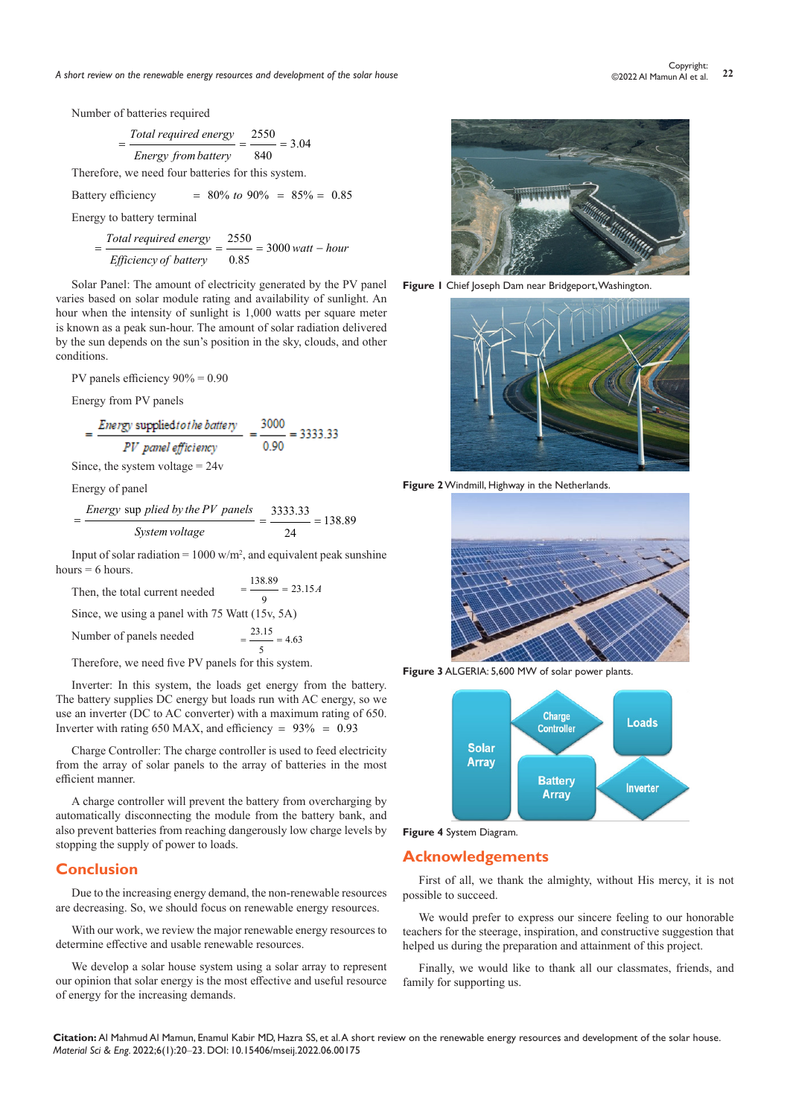*A short review on the renewable energy resources and development of the solar house* **<sup>22</sup>** Copyright:

Number of batteries required

$$
=\frac{Total\ required\ energy}{Energy\ from\ battery} = \frac{2550}{840} = 3.04
$$

Therefore, we need four batteries for this system.

Battery efficiency  $= 80\% \text{ to } 90\% = 85\% = 0.85$ 

Energy to battery terminal

$$
= \frac{\text{Total required energy}}{\text{Efficiency of battery}} = \frac{2550}{0.85} = 3000 \text{ wat}t - hour
$$

Solar Panel: The amount of electricity generated by the PV panel varies based on solar module rating and availability of sunlight. An hour when the intensity of sunlight is 1,000 watts per square meter is known as a peak sun-hour. The amount of solar radiation delivered by the sun depends on the sun's position in the sky, clouds, and other conditions.

PV panels efficiency 90% = 0.90

Energy from PV panels

 $=\frac{Energy \text{ supplied to the battery}}{PV \text{ panel efficiency}} = \frac{3000}{0.90} = 3333.33$ 

Since, the system voltage  $= 24v$ 

Energy of panel

$$
= \frac{Energy \text{ supplied by the PV panels}}{System voltage} = \frac{3333.33}{24} = 138.89
$$

Input of solar radiation =  $1000 \text{ w/m}^2$ , and equivalent peak sunshine hours  $= 6$  hours.

Then, the total current needed  $=$   $\frac{138.89}{9}$  = 23.15*A* Since, we using a panel with 75 Watt (15v, 5A) Number of panels needed  $=\frac{12444}{5} = 4.63$ 

Therefore, we need five PV panels for this system.

Inverter: In this system, the loads get energy from the battery. The battery supplies DC energy but loads run with AC energy, so we use an inverter (DC to AC converter) with a maximum rating of 650. Inverter with rating 650 MAX, and efficiency =  $93\% = 0.93$ 

Charge Controller: The charge controller is used to feed electricity from the array of solar panels to the array of batteries in the most efficient manner.

A charge controller will prevent the battery from overcharging by automatically disconnecting the module from the battery bank, and also prevent batteries from reaching dangerously low charge levels by stopping the supply of power to loads.

## **Conclusion**

Due to the increasing energy demand, the non-renewable resources are decreasing. So, we should focus on renewable energy resources.

With our work, we review the major renewable energy resources to determine effective and usable renewable resources.

We develop a solar house system using a solar array to represent our opinion that solar energy is the most effective and useful resource of energy for the increasing demands.



**Figure 1** Chief Joseph Dam near Bridgeport, Washington.



**Figure 2** Windmill, Highway in the Netherlands.



**Figure 3** ALGERIA: 5,600 MW of solar power plants.





# **Acknowledgements**

First of all, we thank the almighty, without His mercy, it is not possible to succeed.

We would prefer to express our sincere feeling to our honorable teachers for the steerage, inspiration, and constructive suggestion that helped us during the preparation and attainment of this project.

Finally, we would like to thank all our classmates, friends, and family for supporting us.

**Citation:** Al Mahmud Al Mamun, Enamul Kabir MD, Hazra SS, et al. A short review on the renewable energy resources and development of the solar house. *Material Sci & Eng.* 2022;6(1):20‒23. DOI: [10.15406/mseij.2022.06.00175](https://doi.org/10.15406/mseij.2022.06.00175)